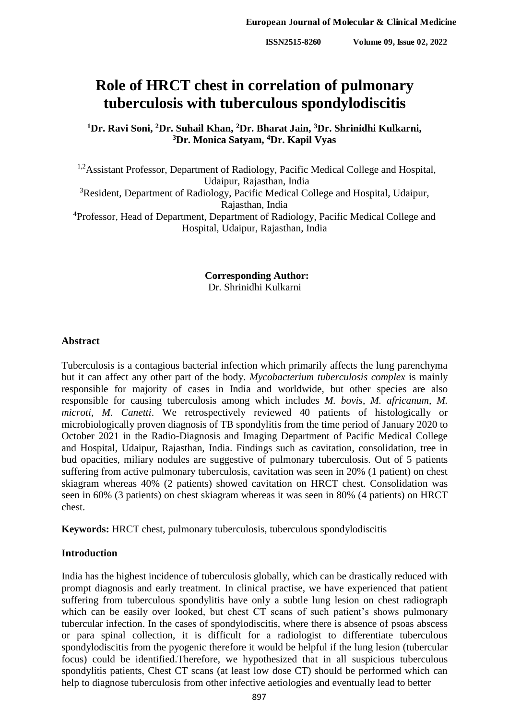# **Role of HRCT chest in correlation of pulmonary tuberculosis with tuberculous spondylodiscitis**

**<sup>1</sup>Dr. Ravi Soni, <sup>2</sup>Dr. Suhail Khan, <sup>2</sup>Dr. Bharat Jain, <sup>3</sup>Dr. Shrinidhi Kulkarni, <sup>3</sup>Dr. Monica Satyam, <sup>4</sup>Dr. Kapil Vyas**

<sup>1,2</sup>Assistant Professor, Department of Radiology, Pacific Medical College and Hospital, Udaipur, Rajasthan, India <sup>3</sup>Resident, Department of Radiology, Pacific Medical College and Hospital, Udaipur, Rajasthan, India <sup>4</sup>Professor, Head of Department, Department of Radiology, Pacific Medical College and Hospital, Udaipur, Rajasthan, India

> **Corresponding Author:** Dr. Shrinidhi Kulkarni

## **Abstract**

Tuberculosis is a contagious bacterial infection which primarily affects the lung parenchyma but it can affect any other part of the body. *Mycobacterium tuberculosis complex* is mainly responsible for majority of cases in India and worldwide, but other species are also responsible for causing tuberculosis among which includes *M. bovis*, *M. africanum, M. microti, M. Canetti*. We retrospectively reviewed 40 patients of histologically or microbiologically proven diagnosis of TB spondylitis from the time period of January 2020 to October 2021 in the Radio-Diagnosis and Imaging Department of Pacific Medical College and Hospital, Udaipur, Rajasthan, India. Findings such as cavitation, consolidation, tree in bud opacities, miliary nodules are suggestive of pulmonary tuberculosis. Out of 5 patients suffering from active pulmonary tuberculosis, cavitation was seen in 20% (1 patient) on chest skiagram whereas 40% (2 patients) showed cavitation on HRCT chest. Consolidation was seen in 60% (3 patients) on chest skiagram whereas it was seen in 80% (4 patients) on HRCT chest.

**Keywords:** HRCT chest, pulmonary tuberculosis, tuberculous spondylodiscitis

## **Introduction**

India has the highest incidence of tuberculosis globally, which can be drastically reduced with prompt diagnosis and early treatment. In clinical practise, we have experienced that patient suffering from tuberculous spondylitis have only a subtle lung lesion on chest radiograph which can be easily over looked*,* but chest CT scans of such patient's shows pulmonary tubercular infection. In the cases of spondylodiscitis, where there is absence of psoas abscess or para spinal collection, it is difficult for a radiologist to differentiate tuberculous spondylodiscitis from the pyogenic therefore it would be helpful if the lung lesion (tubercular focus) could be identified.Therefore, we hypothesized that in all suspicious tuberculous spondylitis patients, Chest CT scans (at least low dose CT) should be performed which can help to diagnose tuberculosis from other infective aetiologies and eventually lead to better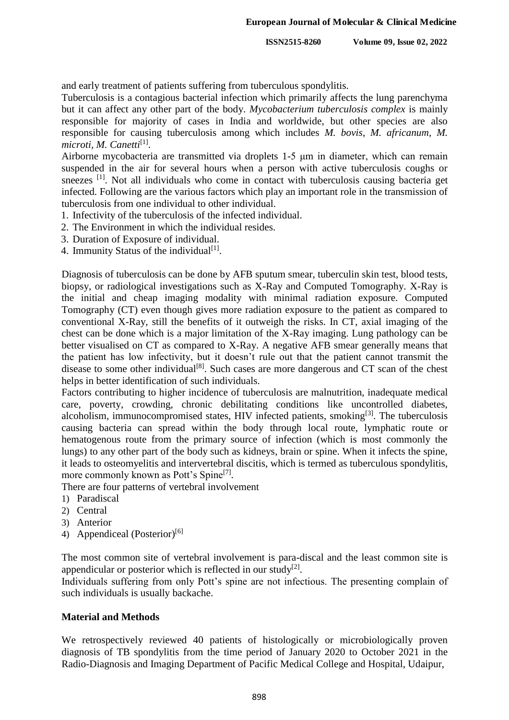and early treatment of patients suffering from tuberculous spondylitis.

Tuberculosis is a contagious bacterial infection which primarily affects the lung parenchyma but it can affect any other part of the body. *Mycobacterium tuberculosis complex* is mainly responsible for majority of cases in India and worldwide, but other species are also responsible for causing tuberculosis among which includes *M. bovis*, *M. africanum, M.*  microti, M. Canetti<sup>[1]</sup>.

Airborne mycobacteria are transmitted via droplets 1-5 μm in diameter, which can remain suspended in the air for several hours when a person with active tuberculosis coughs or sneezes <sup>[1]</sup>. Not all individuals who come in contact with tuberculosis causing bacteria get infected. Following are the various factors which play an important role in the transmission of tuberculosis from one individual to other individual.

- 1. Infectivity of the tuberculosis of the infected individual.
- 2. The Environment in which the individual resides.
- 3. Duration of Exposure of individual.
- 4. Immunity Status of the individual<sup>[1]</sup>.

Diagnosis of tuberculosis can be done by AFB sputum smear, tuberculin skin test, blood tests, biopsy, or radiological investigations such as X-Ray and Computed Tomography. X-Ray is the initial and cheap imaging modality with minimal radiation exposure. Computed Tomography (CT) even though gives more radiation exposure to the patient as compared to conventional X-Ray, still the benefits of it outweigh the risks. In CT, axial imaging of the chest can be done which is a major limitation of the X-Ray imaging. Lung pathology can be better visualised on CT as compared to X-Ray. A negative AFB smear generally means that the patient has low infectivity, but it doesn't rule out that the patient cannot transmit the disease to some other individual<sup>[8]</sup>. Such cases are more dangerous and CT scan of the chest helps in better identification of such individuals.

Factors contributing to higher incidence of tuberculosis are malnutrition, inadequate medical care, poverty, crowding, chronic debilitating conditions like uncontrolled diabetes, alcoholism, immunocompromised states, HIV infected patients, smoking<sup>[3]</sup>. The tuberculosis causing bacteria can spread within the body through local route, lymphatic route or hematogenous route from the primary source of infection (which is most commonly the lungs) to any other part of the body such as kidneys, brain or spine. When it infects the spine, it leads to osteomyelitis and intervertebral discitis, which is termed as tuberculous spondylitis, more commonly known as Pott's Spine<sup>[7]</sup>.

There are four patterns of vertebral involvement

- 1) Paradiscal
- 2) Central
- 3) Anterior
- 4) Appendiceal (Posterior)<sup>[6]</sup>

The most common site of vertebral involvement is para-discal and the least common site is appendicular or posterior which is reflected in our study<sup>[2]</sup>.

Individuals suffering from only Pott's spine are not infectious. The presenting complain of such individuals is usually backache.

## **Material and Methods**

We retrospectively reviewed 40 patients of histologically or microbiologically proven diagnosis of TB spondylitis from the time period of January 2020 to October 2021 in the Radio-Diagnosis and Imaging Department of Pacific Medical College and Hospital, Udaipur,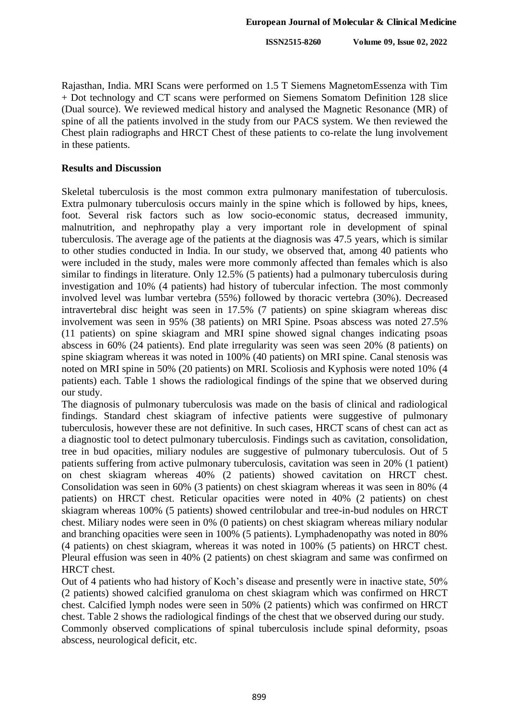Rajasthan, India. MRI Scans were performed on 1.5 T Siemens MagnetomEssenza with Tim + Dot technology and CT scans were performed on Siemens Somatom Definition 128 slice (Dual source). We reviewed medical history and analysed the Magnetic Resonance (MR) of spine of all the patients involved in the study from our PACS system. We then reviewed the Chest plain radiographs and HRCT Chest of these patients to co-relate the lung involvement in these patients.

## **Results and Discussion**

Skeletal tuberculosis is the most common extra pulmonary manifestation of tuberculosis. Extra pulmonary tuberculosis occurs mainly in the spine which is followed by hips, knees, foot. Several risk factors such as low socio-economic status, decreased immunity, malnutrition, and nephropathy play a very important role in development of spinal tuberculosis. The average age of the patients at the diagnosis was 47.5 years, which is similar to other studies conducted in India. In our study, we observed that, among 40 patients who were included in the study, males were more commonly affected than females which is also similar to findings in literature. Only 12.5% (5 patients) had a pulmonary tuberculosis during investigation and 10% (4 patients) had history of tubercular infection. The most commonly involved level was lumbar vertebra (55%) followed by thoracic vertebra (30%). Decreased intravertebral disc height was seen in 17.5% (7 patients) on spine skiagram whereas disc involvement was seen in 95% (38 patients) on MRI Spine. Psoas abscess was noted 27.5% (11 patients) on spine skiagram and MRI spine showed signal changes indicating psoas abscess in 60% (24 patients). End plate irregularity was seen was seen 20% (8 patients) on spine skiagram whereas it was noted in 100% (40 patients) on MRI spine. Canal stenosis was noted on MRI spine in 50% (20 patients) on MRI. Scoliosis and Kyphosis were noted 10% (4 patients) each. Table 1 shows the radiological findings of the spine that we observed during our study.

The diagnosis of pulmonary tuberculosis was made on the basis of clinical and radiological findings. Standard chest skiagram of infective patients were suggestive of pulmonary tuberculosis, however these are not definitive. In such cases, HRCT scans of chest can act as a diagnostic tool to detect pulmonary tuberculosis. Findings such as cavitation, consolidation, tree in bud opacities, miliary nodules are suggestive of pulmonary tuberculosis. Out of 5 patients suffering from active pulmonary tuberculosis, cavitation was seen in 20% (1 patient) on chest skiagram whereas 40% (2 patients) showed cavitation on HRCT chest. Consolidation was seen in 60% (3 patients) on chest skiagram whereas it was seen in 80% (4 patients) on HRCT chest. Reticular opacities were noted in 40% (2 patients) on chest skiagram whereas 100% (5 patients) showed centrilobular and tree-in-bud nodules on HRCT chest. Miliary nodes were seen in 0% (0 patients) on chest skiagram whereas miliary nodular and branching opacities were seen in 100% (5 patients). Lymphadenopathy was noted in 80% (4 patients) on chest skiagram, whereas it was noted in 100% (5 patients) on HRCT chest. Pleural effusion was seen in 40% (2 patients) on chest skiagram and same was confirmed on HRCT chest.

Out of 4 patients who had history of Koch's disease and presently were in inactive state, 50% (2 patients) showed calcified granuloma on chest skiagram which was confirmed on HRCT chest. Calcified lymph nodes were seen in 50% (2 patients) which was confirmed on HRCT chest. Table 2 shows the radiological findings of the chest that we observed during our study. Commonly observed complications of spinal tuberculosis include spinal deformity, psoas abscess, neurological deficit, etc.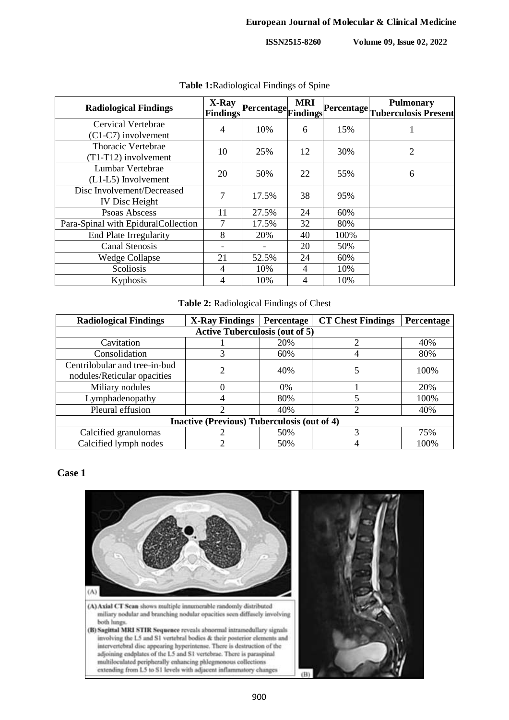**ISSN2515-8260 Volume 09, Issue 02, 2022**

| Volume 09, Issue 02, 2022 |  |  |  |  |  |
|---------------------------|--|--|--|--|--|
|---------------------------|--|--|--|--|--|

| <b>Radiological Findings</b>                        | X-Ray<br>Findings | Percentage Findings | <b>MRI</b>     |      | Pulmonary<br> Percentage  <sub>Tuberculosis Present</sub> |
|-----------------------------------------------------|-------------------|---------------------|----------------|------|-----------------------------------------------------------|
| Cervical Vertebrae<br>$(C1-C7)$ involvement         | 4                 | 10%                 | 6              | 15%  |                                                           |
| Thoracic Vertebrae<br>$(T1-T12)$ involvement        | 10                | 25%                 | 12             | 30%  | $\overline{2}$                                            |
| Lumbar Vertebrae<br>$(L1-L5)$ Involvement           | 20                | 50%                 | 22             | 55%  | 6                                                         |
| Disc Involvement/Decreased<br><b>IV</b> Disc Height | 7                 | 17.5%               | 38             | 95%  |                                                           |
| Psoas Abscess                                       | 11                | 27.5%               | 24             | 60%  |                                                           |
| Para-Spinal with EpiduralCollection                 | 7                 | 17.5%               | 32             | 80%  |                                                           |
| <b>End Plate Irregularity</b>                       | 8                 | 20%                 | 40             | 100% |                                                           |
| <b>Canal Stenosis</b>                               |                   |                     | 20             | 50%  |                                                           |
| <b>Wedge Collapse</b>                               | 21                | 52.5%               | 24             | 60%  |                                                           |
| Scoliosis                                           | 4                 | 10%                 | $\overline{4}$ | 10%  |                                                           |
| Kyphosis                                            | 4                 | 10%                 | 4              | 10%  |                                                           |

**Table 1:**Radiological Findings of Spine

#### **Table 2:** Radiological Findings of Chest

| <b>Radiological Findings</b>                       | <b>X-Ray Findings</b> | Percentage | <b>CT Chest Findings</b> | Percentage |  |  |  |  |
|----------------------------------------------------|-----------------------|------------|--------------------------|------------|--|--|--|--|
| <b>Active Tuberculosis (out of 5)</b>              |                       |            |                          |            |  |  |  |  |
| Cavitation                                         |                       | 20%        |                          | 40%        |  |  |  |  |
| Consolidation                                      |                       | 60%        |                          | 80%        |  |  |  |  |
| Centrilobular and tree-in-bud                      |                       | 40%        |                          | 100%       |  |  |  |  |
| nodules/Reticular opacities                        |                       |            |                          |            |  |  |  |  |
| Miliary nodules                                    |                       | $0\%$      |                          | 20%        |  |  |  |  |
| Lymphadenopathy                                    |                       | 80%        | 5                        | 100%       |  |  |  |  |
| Pleural effusion                                   |                       | 40%        | ∍                        | 40%        |  |  |  |  |
| <b>Inactive (Previous) Tuberculosis (out of 4)</b> |                       |            |                          |            |  |  |  |  |
| Calcified granulomas                               |                       | 50%        | 3                        | 75%        |  |  |  |  |
| Calcified lymph nodes                              |                       | 50%        |                          | 100%       |  |  |  |  |

#### **Case 1**

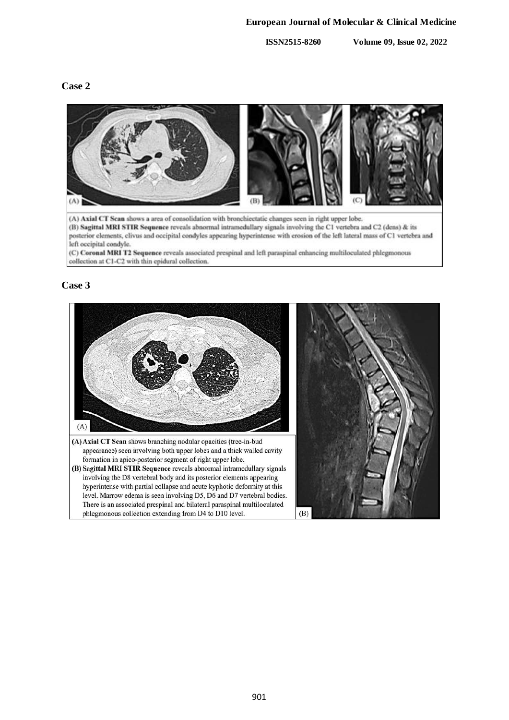## **European Journal of Molecular & Clinical Medicine**

**ISSN2515-8260 Volume 09, Issue 02, 2022**

## **Case 2**



## **Case 3**

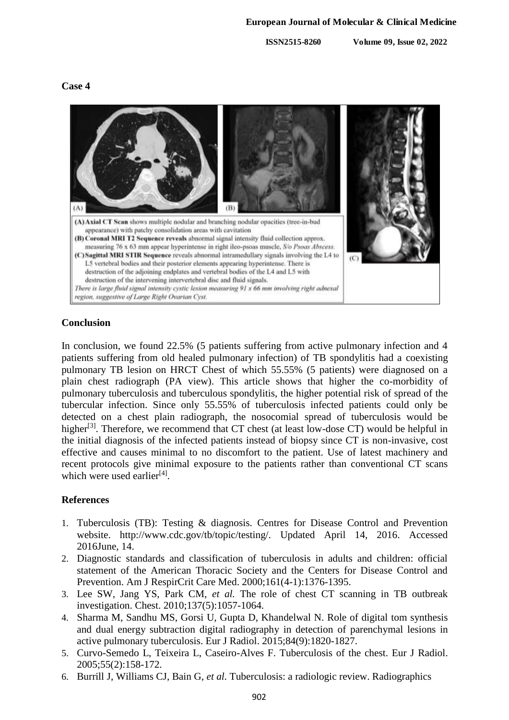**ISSN2515-8260 Volume 09, Issue 02, 2022**

## **Case 4**



## **Conclusion**

In conclusion, we found 22.5% (5 patients suffering from active pulmonary infection and 4 patients suffering from old healed pulmonary infection) of TB spondylitis had a coexisting pulmonary TB lesion on HRCT Chest of which 55.55% (5 patients) were diagnosed on a plain chest radiograph (PA view). This article shows that higher the co-morbidity of pulmonary tuberculosis and tuberculous spondylitis, the higher potential risk of spread of the tubercular infection. Since only 55.55% of tuberculosis infected patients could only be detected on a chest plain radiograph, the nosocomial spread of tuberculosis would be higher<sup>[3]</sup>. Therefore, we recommend that CT chest (at least low-dose CT) would be helpful in the initial diagnosis of the infected patients instead of biopsy since CT is non-invasive, cost effective and causes minimal to no discomfort to the patient. Use of latest machinery and recent protocols give minimal exposure to the patients rather than conventional CT scans which were used earlier<sup>[4]</sup>.

## **References**

- 1. Tuberculosis (TB): Testing & diagnosis. Centres for Disease Control and Prevention website. http://www.cdc.gov/tb/topic/testing/. Updated April 14, 2016. Accessed 2016June, 14.
- 2. Diagnostic standards and classification of tuberculosis in adults and children: official statement of the American Thoracic Society and the Centers for Disease Control and Prevention. Am J RespirCrit Care Med. 2000;161(4-1):1376-1395.
- 3. Lee SW, Jang YS, Park CM, *et al.* The role of chest CT scanning in TB outbreak investigation. Chest. 2010;137(5):1057-1064.
- 4. Sharma M, Sandhu MS, Gorsi U, Gupta D, Khandelwal N. Role of digital tom synthesis and dual energy subtraction digital radiography in detection of parenchymal lesions in active pulmonary tuberculosis. Eur J Radiol. 2015;84(9):1820-1827.
- 5. Curvo-Semedo L, Teixeira L, Caseiro-Alves F. Tuberculosis of the chest. Eur J Radiol. 2005;55(2):158-172.
- 6. Burrill J, Williams CJ, Bain G, *et al.* Tuberculosis: a radiologic review. Radiographics